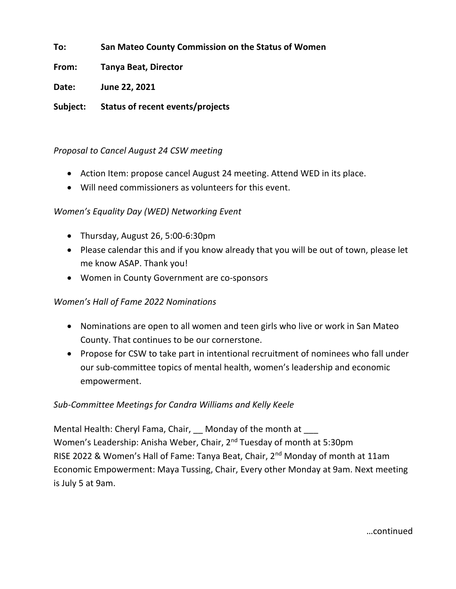**To: San Mateo County Commission on the Status of Women**

**From: Tanya Beat, Director**

**Date: June 22, 2021**

**Subject: Status of recent events/projects**

# *Proposal to Cancel August 24 CSW meeting*

- Action Item: propose cancel August 24 meeting. Attend WED in its place.
- Will need commissioners as volunteers for this event.

# *Women's Equality Day (WED) Networking Event*

- Thursday, August 26, 5:00-6:30pm
- Please calendar this and if you know already that you will be out of town, please let me know ASAP. Thank you!
- Women in County Government are co-sponsors

# *Women's Hall of Fame 2022 Nominations*

- Nominations are open to all women and teen girls who live or work in San Mateo County. That continues to be our cornerstone.
- Propose for CSW to take part in intentional recruitment of nominees who fall under our sub-committee topics of mental health, women's leadership and economic empowerment.

# *Sub-Committee Meetings for Candra Williams and Kelly Keele*

Mental Health: Cheryl Fama, Chair, Monday of the month at Women's Leadership: Anisha Weber, Chair, 2<sup>nd</sup> Tuesday of month at 5:30pm RISE 2022 & Women's Hall of Fame: Tanya Beat, Chair, 2<sup>nd</sup> Monday of month at 11am Economic Empowerment: Maya Tussing, Chair, Every other Monday at 9am. Next meeting is July 5 at 9am.

…continued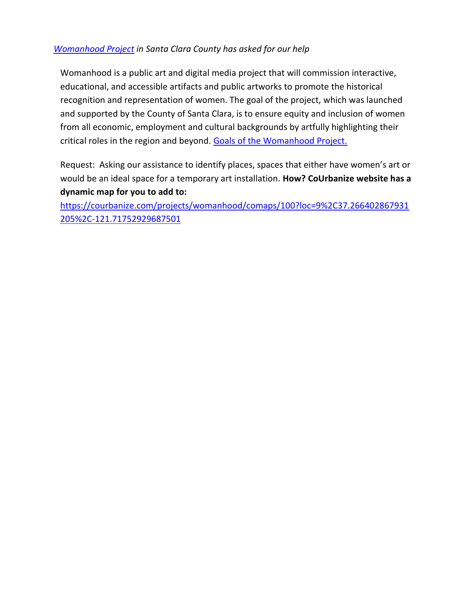# *[Womanhood Project](https://womanhoodproject.org/) in Santa Clara County has asked for our help*

Womanhood is a public art and digital media project that will commission interactive, educational, and accessible artifacts and public artworks to promote the historical recognition and representation of women. The goal of the project, which was launched and supported by the County of Santa Clara, is to ensure equity and inclusion of women from all economic, employment and cultural backgrounds by artfully highlighting their critical roles in the region and beyond. [Goals of the Womanhood Project.](https://courbanize.com/projects/womanhood/about)

Request: Asking our assistance to identify places, spaces that either have women's art or would be an ideal space for a temporary art installation. **How? CoUrbanize website has a dynamic map for you to add to:** 

[https://courbanize.com/projects/womanhood/comaps/100?loc=9%2C37.266402867931](https://courbanize.com/projects/womanhood/comaps/100?loc=9%2C37.266402867931205%2C-121.71752929687501) [205%2C-121.71752929687501](https://courbanize.com/projects/womanhood/comaps/100?loc=9%2C37.266402867931205%2C-121.71752929687501)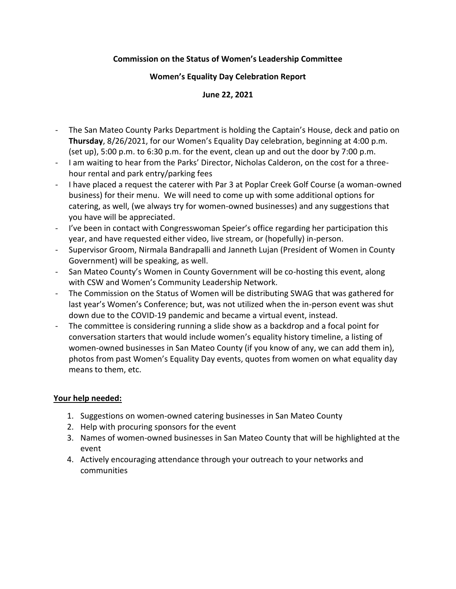#### **Commission on the Status of Women's Leadership Committee**

#### **Women's Equality Day Celebration Report**

#### **June 22, 2021**

- The San Mateo County Parks Department is holding the Captain's House, deck and patio on **Thursday**, 8/26/2021, for our Women's Equality Day celebration, beginning at 4:00 p.m. (set up), 5:00 p.m. to 6:30 p.m. for the event, clean up and out the door by 7:00 p.m.
- I am waiting to hear from the Parks' Director, Nicholas Calderon, on the cost for a threehour rental and park entry/parking fees
- I have placed a request the caterer with Par 3 at Poplar Creek Golf Course (a woman-owned business) for their menu. We will need to come up with some additional options for catering, as well, (we always try for women-owned businesses) and any suggestions that you have will be appreciated.
- I've been in contact with Congresswoman Speier's office regarding her participation this year, and have requested either video, live stream, or (hopefully) in-person.
- Supervisor Groom, Nirmala Bandrapalli and Janneth Lujan (President of Women in County Government) will be speaking, as well.
- San Mateo County's Women in County Government will be co-hosting this event, along with CSW and Women's Community Leadership Network.
- The Commission on the Status of Women will be distributing SWAG that was gathered for last year's Women's Conference; but, was not utilized when the in-person event was shut down due to the COVID-19 pandemic and became a virtual event, instead.
- The committee is considering running a slide show as a backdrop and a focal point for conversation starters that would include women's equality history timeline, a listing of women-owned businesses in San Mateo County (if you know of any, we can add them in), photos from past Women's Equality Day events, quotes from women on what equality day means to them, etc.

## **Your help needed:**

- 1. Suggestions on women-owned catering businesses in San Mateo County
- 2. Help with procuring sponsors for the event
- 3. Names of women-owned businesses in San Mateo County that will be highlighted at the event
- 4. Actively encouraging attendance through your outreach to your networks and communities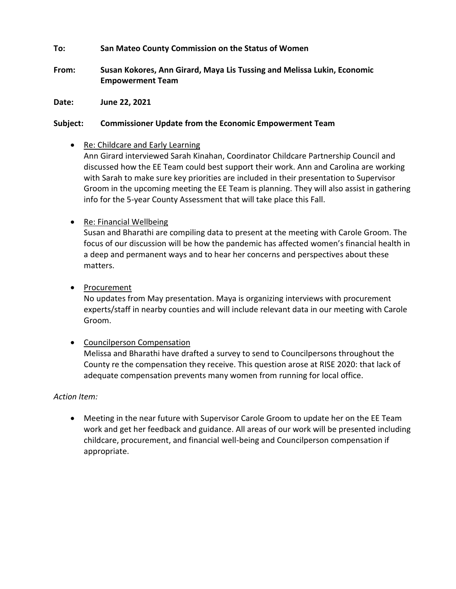#### **To: San Mateo County Commission on the Status of Women**

**From: Susan Kokores, Ann Girard, Maya Lis Tussing and Melissa Lukin, Economic Empowerment Team**

**Date: June 22, 2021**

#### **Subject: Commissioner Update from the Economic Empowerment Team**

• Re: Childcare and Early Learning

Ann Girard interviewed Sarah Kinahan, Coordinator Childcare Partnership Council and discussed how the EE Team could best support their work. Ann and Carolina are working with Sarah to make sure key priorities are included in their presentation to Supervisor Groom in the upcoming meeting the EE Team is planning. They will also assist in gathering info for the 5-year County Assessment that will take place this Fall.

• Re: Financial Wellbeing

Susan and Bharathi are compiling data to present at the meeting with Carole Groom. The focus of our discussion will be how the pandemic has affected women's financial health in a deep and permanent ways and to hear her concerns and perspectives about these matters.

• Procurement

No updates from May presentation. Maya is organizing interviews with procurement experts/staff in nearby counties and will include relevant data in our meeting with Carole Groom.

## • Councilperson Compensation

Melissa and Bharathi have drafted a survey to send to Councilpersons throughout the County re the compensation they receive. This question arose at RISE 2020: that lack of adequate compensation prevents many women from running for local office.

## *Action Item:*

• Meeting in the near future with Supervisor Carole Groom to update her on the EE Team work and get her feedback and guidance. All areas of our work will be presented including childcare, procurement, and financial well-being and Councilperson compensation if appropriate.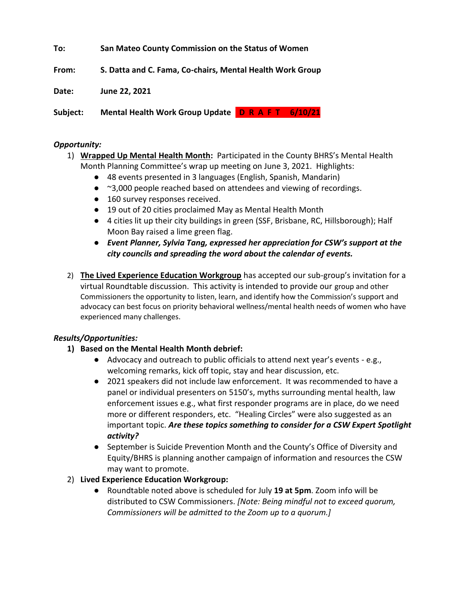**To: San Mateo County Commission on the Status of Women**

**From: S. Datta and C. Fama, Co-chairs, Mental Health Work Group**

**Date: June 22, 2021**

Subject: Mental Health Work Group Update D R A F T 6/10/21

#### *Opportunity:*

- 1) **Wrapped Up Mental Health Month:** Participated in the County BHRS's Mental Health Month Planning Committee's wrap up meeting on June 3, 2021. Highlights:
	- 48 events presented in 3 languages (English, Spanish, Mandarin)
	- ~3,000 people reached based on attendees and viewing of recordings.
	- 160 survey responses received.
	- 19 out of 20 cities proclaimed May as Mental Health Month
	- 4 cities lit up their city buildings in green (SSF, Brisbane, RC, Hillsborough); Half Moon Bay raised a lime green flag.
	- *Event Planner, Sylvia Tang, expressed her appreciation for CSW's support at the city councils and spreading the word about the calendar of events.*
- 2) **The Lived Experience Education Workgroup** has accepted our sub-group's invitation for a virtual Roundtable discussion. This activity is intended to provide our group and other Commissioners the opportunity to listen, learn, and identify how the Commission's support and advocacy can best focus on priority behavioral wellness/mental health needs of women who have experienced many challenges.

## *Results/Opportunities:*

- **1) Based on the Mental Health Month debrief:**
	- Advocacy and outreach to public officials to attend next year's events e.g., welcoming remarks, kick off topic, stay and hear discussion, etc.
	- 2021 speakers did not include law enforcement. It was recommended to have a panel or individual presenters on 5150's, myths surrounding mental health, law enforcement issues e.g., what first responder programs are in place, do we need more or different responders, etc. "Healing Circles" were also suggested as an important topic. *Are these topics something to consider for a CSW Expert Spotlight activity?*
	- September is Suicide Prevention Month and the County's Office of Diversity and Equity/BHRS is planning another campaign of information and resources the CSW may want to promote.

## 2) **Lived Experience Education Workgroup:**

● Roundtable noted above is scheduled for July **19 at 5pm**. Zoom info will be distributed to CSW Commissioners. *[Note: Being mindful not to exceed quorum, Commissioners will be admitted to the Zoom up to a quorum.]*